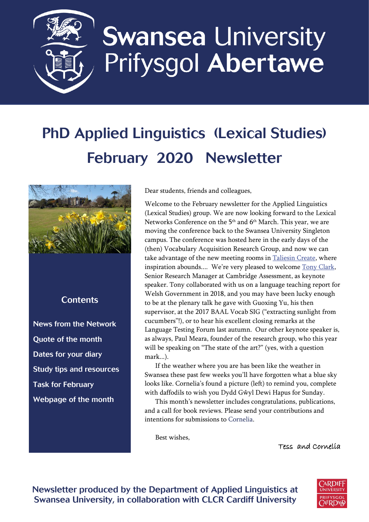

# **Swansea University** Prifysgol Abertawe

## PhD Applied Linguistics (Lexical Studies) February 2020 Newsletter



#### **Contents**

[News from the Network](#page-1-0) [Quote of the month](#page-2-0) [Dates for your diary](#page-2-1) [Study tips and resources](#page-3-0) [Task for February](#page-3-1) [Webpage of the month](#page-3-2)

Dear students, friends and colleagues,

Welcome to the February newsletter for the Applied Linguistics (Lexical Studies) group. We are now looking forward to the Lexical Networks Conference on the 5 th and 6th March. This year, we are moving the conference back to the Swansea University Singleton campus. The conference was hosted here in the early days of the (then) Vocabulary Acquisition Research Group, and now we can take advantage of the new meeting rooms in [Taliesin Create,](https://www.swansea.ac.uk/cultural-institute/taliesin-create/) where inspiration abounds.... We're very pleased to welcome [Tony Clark,](https://www.cambridgeenglish.org/research-and-validation/meet-the-team/tony-clark/) Senior Research Manager at Cambridge Assessment, as keynote speaker. Tony collaborated with us on a language teaching report for Welsh Government in 2018, and you may have been lucky enough to be at the plenary talk he gave with Guoxing Yu, his then supervisor, at the 2017 BAAL Vocab SIG ("extracting sunlight from cucumbers"!), or to hear his excellent closing remarks at the Language Testing Forum last autumn. Our other keynote speaker is, as always, Paul Meara, founder of the research group, who this year will be speaking on "The state of the art?" (yes, with a question mark...).

If the weather where you are has been like the weather in Swansea these past few weeks you'll have forgotten what a blue sky looks like. Cornelia's found a picture (left) to remind you, complete with daffodils to wish you Dydd Gŵyl Dewi Hapus for Sunday.

This month's newsletter includes congratulations, publications, and a call for book reviews. Please send your contributions and intentions for submissions to [Cornelia.](mailto:c.tschichold@swansea.ac.uk)

Best wishes,

Tess and Cornelia



Newsletter produced by the Department of Applied Linguistics at Swansea University, in collaboration with CLCR Cardiff University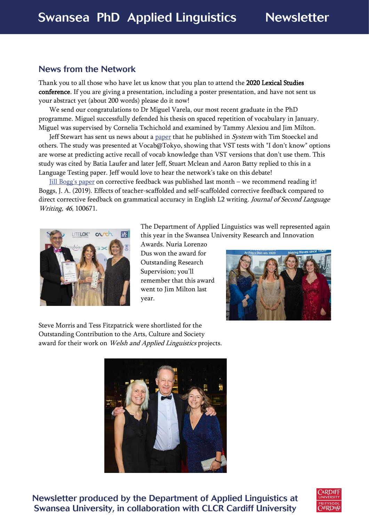#### <span id="page-1-0"></span>News from the Network

Thank you to all those who have let us know that you plan to attend the 2020 Lexical Studies conference. If you are giving a presentation, including a poster presentation, and have not sent us your abstract yet (about 200 words) please do it now!

We send our congratulations to Dr Miguel Varela, our most recent graduate in the PhD programme. Miguel successfully defended his thesis on spaced repetition of vocabulary in January. Miguel was supervised by Cornelia Tschichold and examined by Tammy Alexiou and Jim Milton.

Jeff Stewart has sent us news about a [paper](https://www.sciencedirect.com/science/article/abs/pii/S0346251X19302696) that he published in *System* with Tim Stoeckel and others. The study was presented at Vocab@Tokyo, showing that VST tests with "I don't know" options are worse at predicting active recall of vocab knowledge than VST versions that don't use them. This study was cited by Batia Laufer and later Jeff, Stuart Mclean and Aaron Batty replied to this in a Language Testing paper. Jeff would love to hear the network's take on this debate!

[Jill Bogg's paper](https://www.sciencedirect.com/science/article/pii/S1060374319303625) on corrective feedback was published last month – we recommend reading it! Boggs, J. A. (2019). Effects of teacher-scaffolded and self-scaffolded corrective feedback compared to direct corrective feedback on grammatical accuracy in English L2 writing. Journal of Second Language Writing, 46, 100671.



The Department of Applied Linguistics was well represented again this year in the Swansea University Research and Innovation

Awards. Nuria Lorenzo Dus won the award for Outstanding Research Supervision; you'll remember that this award went to Jim Milton last year.



Steve Morris and Tess Fitzpatrick were shortlisted for the Outstanding Contribution to the Arts, Culture and Society award for their work on Welsh and Applied Linguistics projects.



Newsletter produced by the Department of Applied Linguistics at Swansea University, in collaboration with CLCR Cardiff University

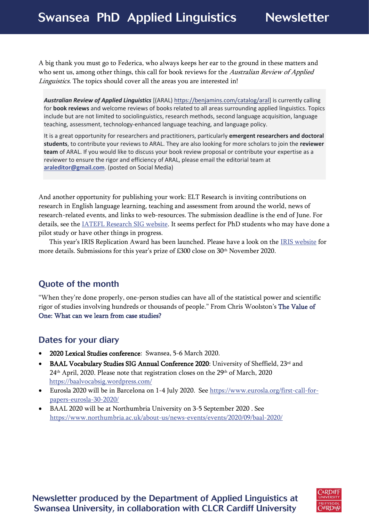### Swansea PhD Applied Linguistics Newsletter

A big thank you must go to Federica, who always keeps her ear to the ground in these matters and who sent us, among other things, this call for book reviews for the Australian Review of Applied Linguistics. The topics should cover all the areas you are interested in!

*Australian Review of Applied Linguistics* [(ARAL) [https://benjamins.com/catalog/aral\]](https://eur03.safelinks.protection.outlook.com/?url=https%3A%2F%2Fbenjamins.com%2Fcatalog%2Faral%3Ffbclid%3DIwAR3D9_IzGLh5hBJiXDAniQZodMFu45q50h9UWq16Ehgb34kTmITWOyFs4GE&data=02%7C01%7CC.Tschichold%40Swansea.ac.uk%7Ca86d30a211e143d8d32708d7afe97c33%7Cbbcab52e9fbe43d6a2f39f66c43df268%7C0%7C0%7C637171289653016107&sdata=FTsVNVaH4UudSEqgsdhRaBmk3%2BzFwbEUCjcbwnc2aYw%3D&reserved=0) is currently calling for **book reviews** and welcome reviews of books related to all areas surrounding applied linguistics. Topics include but are not limited to sociolinguistics, research methods, second language acquisition, language teaching, assessment, technology-enhanced language teaching, and language policy.

It is a great opportunity for researchers and practitioners, particularly **emergent researchers and doctoral students**, to contribute your reviews to ARAL. They are also looking for more scholars to join the **reviewer team** of ARAL. If you would like to discuss your book review proposal or contribute your expertise as a reviewer to ensure the rigor and efficiency of ARAL, please email the editorial team at **[araleditor@gmail.com](mailto:araleditor@gmail.com)**. (posted on Social Media)

And another opportunity for publishing your work: ELT Research is inviting contributions on research in English language learning, teaching and assessment from around the world, news of research-related events, and links to web-resources. The submission deadline is the end of June. For details, see the [IATEFL Research SIG website.](http://resig.weebly.com/write-an-article-for-elt-research.html?fbclid=IwAR1jdLWBqu5E1LUSFLrX5j4VN6dKnjZdHt6Q0-1_ajuqMLKnhi_9vMI4XEs) It seems perfect for PhD students who may have done a pilot study or have other things in progress.

This year's IRIS Replication Award has been launched. Please have a look on the [IRIS website](https://www.iris-database.org/iris/app/home/replication_award?fbclid=IwAR1tL9_nwsOZEN1BhBddis1EAmvQ18CE7KLJHYF6yfqhbEljkcTbdlkUFZA) for more details. Submissions for this year's prize of £300 close on 30<sup>th</sup> November 2020.

#### <span id="page-2-0"></span>Quote of the month

"When they're done properly, one-person studies can have all of the statistical power and scientific rigor of studies involving hundreds or thousands of people." From Chris Woolston's [The Value of](https://undark.org/2020/02/04/value-of-case-studies/)  [One: What can we learn from case studies?](https://undark.org/2020/02/04/value-of-case-studies/)

#### <span id="page-2-1"></span>Dates for your diary

- 2020 Lexical Studies conference: Swansea, 5-6 March 2020.
- BAAL Vocabulary Studies SIG Annual Conference 2020: University of Sheffield, 23rd and 24th April, 2020. Please note that registration closes on the 29th of March, 2020 [https://baalvocabsig.wordpress.com/](https://eur03.safelinks.protection.outlook.com/?url=https%3A%2F%2Fbaalvocabsig.wordpress.com%2F&data=02%7C01%7CT.Fitzpatrick%40Swansea.ac.uk%7C25d989f2a4d04dae576908d7b38c0805%7Cbbcab52e9fbe43d6a2f39f66c43df268%7C0%7C0%7C637175286321367706&sdata=hgMxYGpot13Mn%2BDoT4QM8LQtge4RK%2BOFVWyg4ZJun1c%3D&reserved=0)
- Eurosla 2020 will be in Barcelona on 1-4 July 2020. See [https://www.eurosla.org/first-call-for](https://www.eurosla.org/first-call-for-papers-eurosla-30-2020/)[papers-eurosla-30-2020/](https://www.eurosla.org/first-call-for-papers-eurosla-30-2020/)
- BAAL 2020 will be at Northumbria University on 3-5 September 2020 . See <https://www.northumbria.ac.uk/about-us/news-events/events/2020/09/baal-2020/>